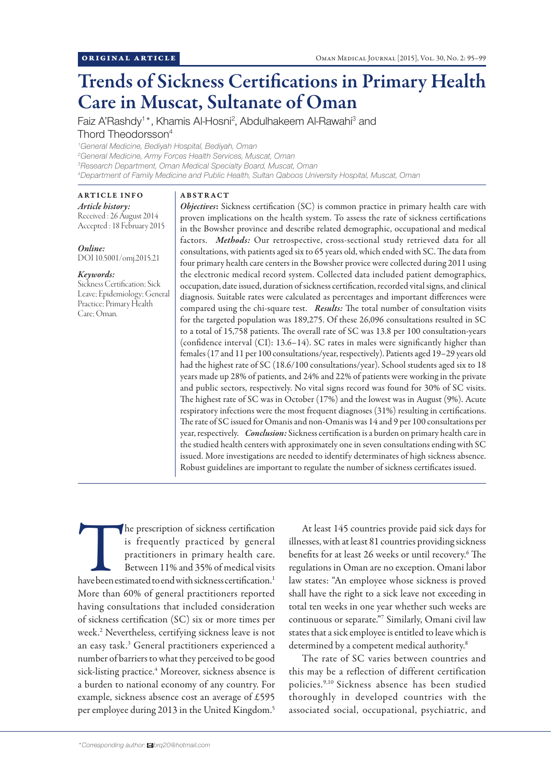# Trends of Sickness Certifications in Primary Health Care in Muscat, Sultanate of Oman

Faiz A'Rashdy<sup>1\*</sup>, Khamis Al-Hosni<sup>2</sup>, Abdulhakeem Al-Rawahi<sup>3</sup> and Thord Theodorsson4

 *General Medicine, Bediyah Hospital, Bediyah, Oman General Medicine, Army Forces Health Services, Muscat, Oman Research Department, Oman Medical Specialty Board, Muscat, Oman Department of Family Medicine and Public Health, Sultan Qaboos University Hospital, Muscat, Oman*

# ARTICLE INFO

*Article history:*  Received : 26 August 2014 Accepted : 18 February 2015

*Online:* DOI 10.5001/omj.2015.21

## *Keywords:*

Sickness Certification; Sick Leave; Epidemiology; General Practice; Primary Health Care; Oman.

## ABSTRACT

*Objectives*: Sickness certification (SC) is common practice in primary health care with proven implications on the health system. To assess the rate of sickness certifications in the Bowsher province and describe related demographic, occupational and medical factors. *Methods:* Our retrospective, cross-sectional study retrieved data for all consultations, with patients aged six to 65 years old, which ended with SC. The data from four primary health care centers in the Bowsher provice were collected during 2011 using the electronic medical record system. Collected data included patient demographics, occupation, date issued, duration of sickness certification, recorded vital signs, and clinical diagnosis. Suitable rates were calculated as percentages and important differences were compared using the chi-square test. *Results:* The total number of consultation visits for the targeted population was 189,275. Of these 26,096 consultations resulted in SC to a total of 15,758 patients. The overall rate of SC was 13.8 per 100 consultation-years (confidence interval (CI): 13.6–14). SC rates in males were significantly higher than females (17 and 11 per 100 consultations/year, respectively). Patients aged 19–29 years old had the highest rate of SC (18.6/100 consultations/year). School students aged six to 18 years made up 28% of patients, and 24% and 22% of patients were working in the private and public sectors, respectively. No vital signs record was found for 30% of SC visits. The highest rate of SC was in October (17%) and the lowest was in August (9%). Acute respiratory infections were the most frequent diagnoses (31%) resulting in certifications. The rate of SC issued for Omanis and non-Omanis was 14 and 9 per 100 consultations per year, respectively. *Conclusion:* Sickness certification is a burden on primary health care in the studied health centers with approximately one in seven consultations ending with SC issued. More investigations are needed to identify determinates of high sickness absence. Robust guidelines are important to regulate the number of sickness certificates issued.

The prescription of sickness certification<br>
is frequently practiced by general<br>
practitioners in primary health care.<br>
Between 11% and 35% of medical visits<br>
have been estimated to end with sickness certification.<sup>1</sup> is frequently practiced by general practitioners in primary health care. Between 11% and 35% of medical visits More than 60% of general practitioners reported having consultations that included consideration of sickness certification (SC) six or more times per week.2 Nevertheless, certifying sickness leave is not an easy task.3 General practitioners experienced a number of barriers to what they perceived to be good sick-listing practice.<sup>4</sup> Moreover, sickness absence is a burden to national economy of any country. For example, sickness absence cost an average of £595 per employee during 2013 in the United Kingdom.5

At least 145 countries provide paid sick days for illnesses, with at least 81 countries providing sickness benefits for at least 26 weeks or until recovery.<sup>6</sup> The regulations in Oman are no exception. Omani labor law states: "An employee whose sickness is proved shall have the right to a sick leave not exceeding in total ten weeks in one year whether such weeks are continuous or separate."7 Similarly, Omani civil law states that a sick employee is entitled to leave which is determined by a competent medical authority.<sup>8</sup>

The rate of SC varies between countries and this may be a reflection of different certification policies.9,10 Sickness absence has been studied thoroughly in developed countries with the associated social, occupational, psychiatric, and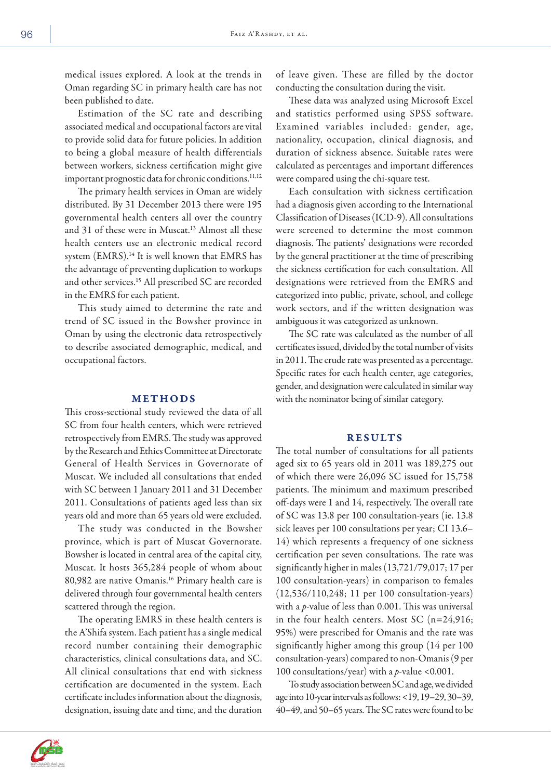medical issues explored. A look at the trends in Oman regarding SC in primary health care has not been published to date.

Estimation of the SC rate and describing associated medical and occupational factors are vital to provide solid data for future policies. In addition to being a global measure of health differentials between workers, sickness certification might give important prognostic data for chronic conditions.<sup>11,12</sup>

The primary health services in Oman are widely distributed. By 31 December 2013 there were 195 governmental health centers all over the country and 31 of these were in Muscat.<sup>13</sup> Almost all these health centers use an electronic medical record system (EMRS).<sup>14</sup> It is well known that EMRS has the advantage of preventing duplication to workups and other services.15 All prescribed SC are recorded in the EMRS for each patient.

This study aimed to determine the rate and trend of SC issued in the Bowsher province in Oman by using the electronic data retrospectively to describe associated demographic, medical, and occupational factors.

## METHODS

This cross-sectional study reviewed the data of all SC from four health centers, which were retrieved retrospectively from EMRS. The study was approved by the Research and Ethics Committee at Directorate General of Health Services in Governorate of Muscat. We included all consultations that ended with SC between 1 January 2011 and 31 December 2011. Consultations of patients aged less than six years old and more than 65 years old were excluded.

The study was conducted in the Bowsher province, which is part of Muscat Governorate. Bowsher is located in central area of the capital city, Muscat. It hosts 365,284 people of whom about 80,982 are native Omanis.16 Primary health care is delivered through four governmental health centers scattered through the region.

The operating EMRS in these health centers is the A'Shifa system. Each patient has a single medical record number containing their demographic characteristics, clinical consultations data, and SC. All clinical consultations that end with sickness certification are documented in the system. Each certificate includes information about the diagnosis, designation, issuing date and time, and the duration of leave given. These are filled by the doctor conducting the consultation during the visit.

These data was analyzed using Microsoft Excel and statistics performed using SPSS software. Examined variables included: gender, age, nationality, occupation, clinical diagnosis, and duration of sickness absence. Suitable rates were calculated as percentages and important differences were compared using the chi-square test.

Each consultation with sickness certification had a diagnosis given according to the International Classification of Diseases (ICD-9). All consultations were screened to determine the most common diagnosis. The patients' designations were recorded by the general practitioner at the time of prescribing the sickness certification for each consultation. All designations were retrieved from the EMRS and categorized into public, private, school, and college work sectors, and if the written designation was ambiguous it was categorized as unknown.

The SC rate was calculated as the number of all certificates issued, divided by the total number of visits in 2011. The crude rate was presented as a percentage. Specific rates for each health center, age categories, gender, and designation were calculated in similar way with the nominator being of similar category.

# RESULTS

The total number of consultations for all patients aged six to 65 years old in 2011 was 189,275 out of which there were 26,096 SC issued for 15,758 patients. The minimum and maximum prescribed off-days were 1 and 14, respectively. The overall rate of SC was 13.8 per 100 consultation-years (ie. 13.8 sick leaves per 100 consultations per year; CI 13.6– 14) which represents a frequency of one sickness certification per seven consultations. The rate was significantly higher in males (13,721/79,017; 17 per 100 consultation-years) in comparison to females (12,536/110,248; 11 per 100 consultation-years) with a *p*-value of less than 0.001. This was universal in the four health centers. Most SC (n=24,916; 95%) were prescribed for Omanis and the rate was significantly higher among this group (14 per 100 consultation-years) compared to non-Omanis (9 per 100 consultations/year) with a *p*-value <0.001.

To study association between SC and age, we divided age into 10-year intervals as follows: <19, 19–29, 30–39, 40–49, and 50–65 years. The SC rates were found to be

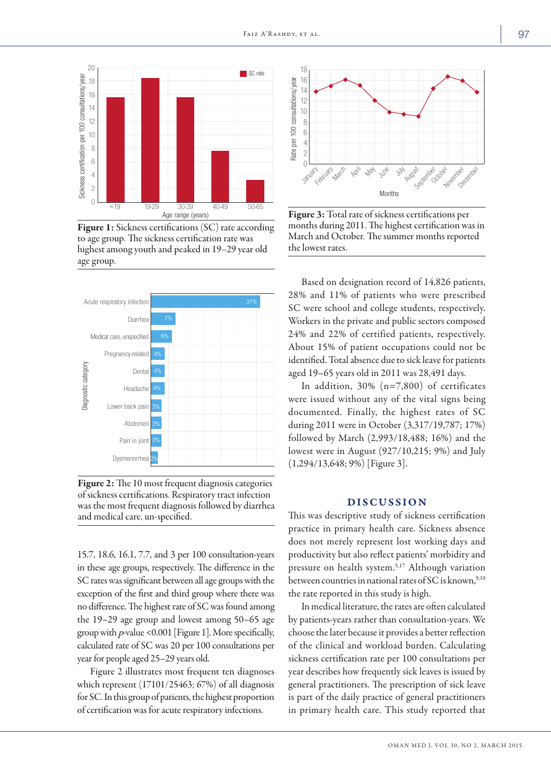

Figure 1: Sickness certifications (SC) rate according to age group. The sickness certification rate was highest among youth and peaked in 19–29 year old age group.



Figure 2: The 10 most frequent diagnosis categories of sickness certifications. Respiratory tract infection was the most frequent diagnosis followed by diarrhea and medical care, un-specified.

15.7, 18.6, 16.1, 7.7, and 3 per 100 consultation-years in these age groups, respectively. The difference in the SC rates was significant between all age groups with the exception of the first and third group where there was no difference. The highest rate of SC was found among the 19–29 age group and lowest among 50–65 age group with p-value <0.001 [Figure 1]. More specifically, calculated rate of SC was 20 per 100 consultations per year for people aged 25–29 years old.

Figure 2 illustrates most frequent ten diagnoses which represent (17101/25463; 67%) of all diagnosis for SC. In this group of patients, the highest proportion of certification was for acute respiratory infections.



Figure 3: Total rate of sickness certifications per months during 2011. The highest certification was in March and October. The summer months reported the lowest rates.

Based on designation record of 14,826 patients, 28% and 11% of patients who were prescribed SC were school and college students, respectively. Workers in the private and public sectors composed 24% and 22% of certified patients, respectively. About 15% of patient occupations could not be identified. Total absence due to sick leave for patients aged 19–65 years old in 2011 was 28,491 days.

In addition, 30% (n=7,800) of certificates were issued without any of the vital signs being documented. Finally, the highest rates of SC during 2011 were in October (3,317/19,787; 17%) followed by March (2,993/18,488; 16%) and the lowest were in August (927/10,215; 9%) and July (1,294/13,648; 9%) [Figure 3].

# **DISCUSSION**

This was descriptive study of sickness certification practice in primary health care. Sickness absence does not merely represent lost working days and productivity but also reflect patients' morbidity and pressure on health system.5,17 Although variation between countries in national rates of SC is known,  $9,10$ the rate reported in this study is high.

In medical literature, the rates are often calculated by patients-years rather than consultation-years. We choose the later because it provides a better reflection of the clinical and workload burden. Calculating sickness certification rate per 100 consultations per year describes how frequently sick leaves is issued by general practitioners. The prescription of sick leave is part of the daily practice of general practitioners in primary health care. This study reported that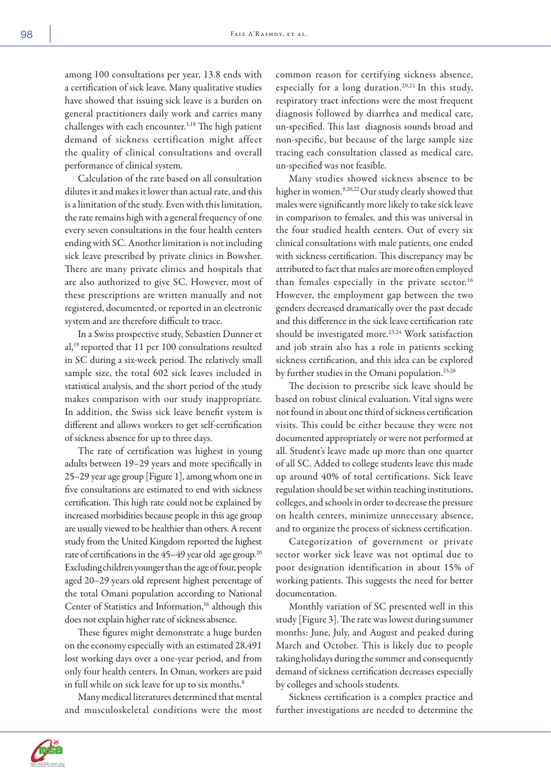among 100 consultations per year, 13.8 ends with a certification of sick leave. Many qualitative studies have showed that issuing sick leave is a burden on general practitioners daily work and carries many challenges with each encounter.3,18 The high patient demand of sickness certification might affect the quality of clinical consultations and overall performance of clinical system.

Calculation of the rate based on all consultation dilutes it and makes it lower than actual rate, and this is a limitation of the study. Even with this limitation, the rate remains high with a general frequency of one every seven consultations in the four health centers ending with SC. Another limitation is not including sick leave prescribed by private clinics in Bowsher. There are many private clinics and hospitals that are also authorized to give SC. However, most of these prescriptions are written manually and not registered, documented, or reported in an electronic system and are therefore difficult to trace.

In a Swiss prospective study, Sebastien Dunner et al,19 reported that 11 per 100 consultations resulted in SC during a six-week period.The relatively small sample size, the total 602 sick leaves included in statistical analysis, and the short period of the study makes comparison with our study inappropriate. In addition, the Swiss sick leave benefit system is different and allows workers to get self-certification of sickness absence for up to three days.

The rate of certification was highest in young adults between 19–29 years and more specifically in 25–29 year age group [Figure 1], among whom one in five consultations are estimated to end with sickness certification. This high rate could not be explained by increased morbidities because people in this age group are usually viewed to be healthier than others. A recent study from the United Kingdom reported the highest rate of certifications in the 45-49 year old age group.<sup>20</sup> Excluding children younger than the age of four, people aged 20–29 years old represent highest percentage of the total Omani population according to National Center of Statistics and Information,<sup>16</sup> although this does not explain higher rate of sickness absence.

These figures might demonstrate a huge burden on the economy especially with an estimated 28,491 lost working days over a one-year period, and from only four health centers. In Oman, workers are paid in full while on sick leave for up to six months.<sup>8</sup>

Many medical literatures determined that mental and musculoskeletal conditions were the most common reason for certifying sickness absence, especially for a long duration.20,21 In this study, respiratory tract infections were the most frequent diagnosis followed by diarrhea and medical care, un-specified. This last diagnosis sounds broad and non-specific, but because of the large sample size tracing each consultation classed as medical care, un-specified was not feasible.

Many studies showed sickness absence to be higher in women.<sup>9,20,22</sup> Our study clearly showed that males were significantly more likely to take sick leave in comparison to females, and this was universal in the four studied health centers. Out of every six clinical consultations with male patients, one ended with sickness certification. This discrepancy may be attributed to fact that males are more often employed than females especially in the private sector.<sup>16</sup> However, the employment gap between the two genders decreased dramatically over the past decade and this difference in the sick leave certification rate should be investigated more.<sup>23,24</sup> Work satisfaction and job strain also has a role in patients seeking sickness certification, and this idea can be explored by further studies in the Omani population.<sup>25,26</sup>

The decision to prescribe sick leave should be based on robust clinical evaluation. Vital signs were not found in about one third of sickness certification visits. This could be either because they were not documented appropriately or were not performed at all. Student's leave made up more than one quarter of all SC. Added to college students leave this made up around 40% of total certifications. Sick leave regulation should be set within teaching institutions, colleges, and schools in order to decrease the pressure on health centers, minimize unnecessary absence, and to organize the process of sickness certification.

Categorization of government or private sector worker sick leave was not optimal due to poor designation identification in about 15% of working patients. This suggests the need for better documentation.

Monthly variation of SC presented well in this study [Figure 3]. The rate was lowest during summer months: June, July, and August and peaked during March and October. This is likely due to people taking holidays during the summer and consequently demand of sickness certification decreases especially by colleges and schools students.

Sickness certification is a complex practice and further investigations are needed to determine the